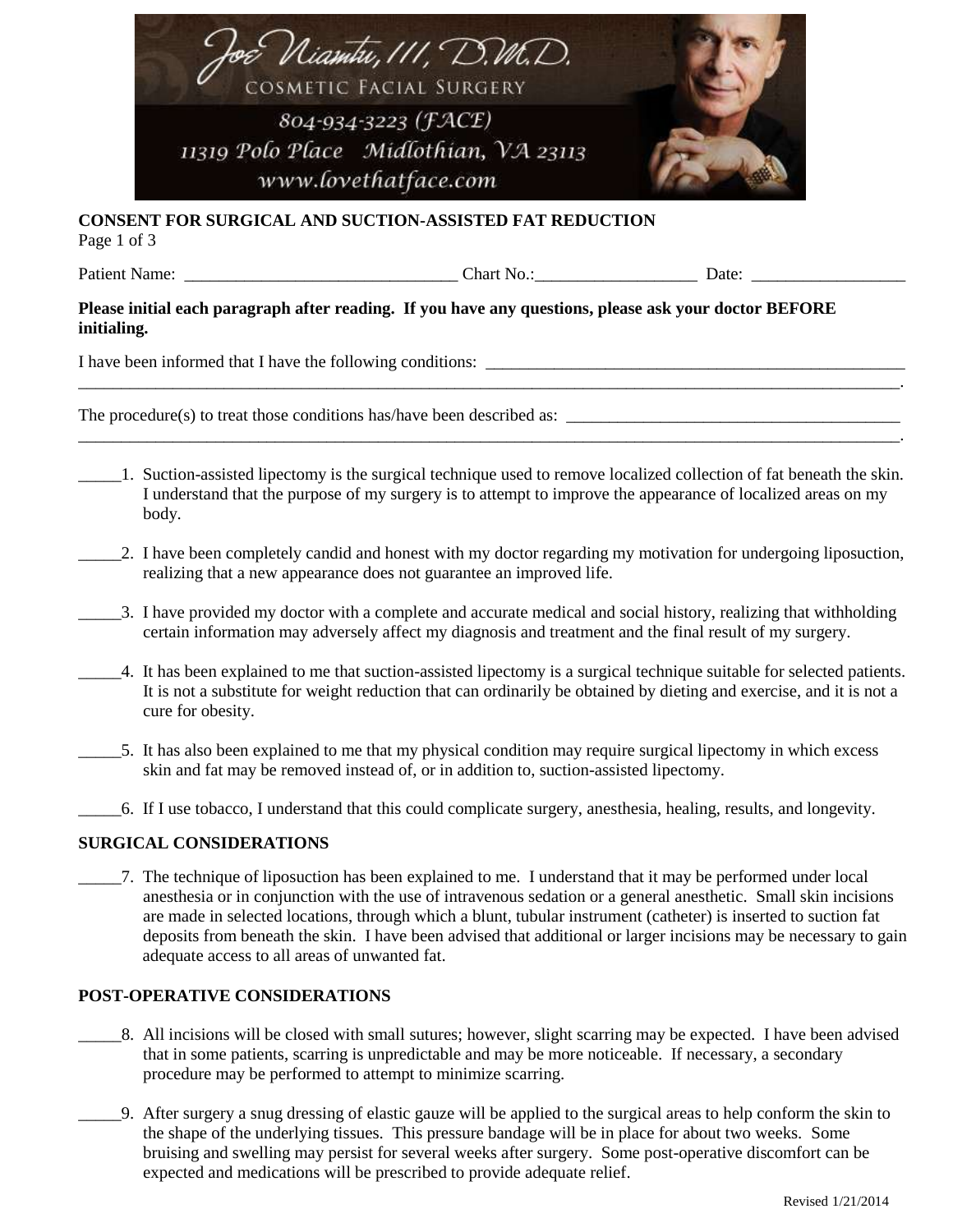

# **CONSENT FOR SURGICAL AND SUCTION-ASSISTED FAT REDUCTION**

Page 1 of 3

Patient Name: <br>  $\Box$  Chart No.: <br>  $\Box$  Date:

### **Please initial each paragraph after reading. If you have any questions, please ask your doctor BEFORE initialing.**

I have been informed that I have the following conditions:

The procedure(s) to treat those conditions has/have been described as:

\_\_\_\_\_1. Suction-assisted lipectomy is the surgical technique used to remove localized collection of fat beneath the skin. I understand that the purpose of my surgery is to attempt to improve the appearance of localized areas on my body.

\_\_\_\_\_\_\_\_\_\_\_\_\_\_\_\_\_\_\_\_\_\_\_\_\_\_\_\_\_\_\_\_\_\_\_\_\_\_\_\_\_\_\_\_\_\_\_\_\_\_\_\_\_\_\_\_\_\_\_\_\_\_\_\_\_\_\_\_\_\_\_\_\_\_\_\_\_\_\_\_\_\_\_\_\_\_\_\_\_\_\_\_\_\_\_\_.

\_\_\_\_\_\_\_\_\_\_\_\_\_\_\_\_\_\_\_\_\_\_\_\_\_\_\_\_\_\_\_\_\_\_\_\_\_\_\_\_\_\_\_\_\_\_\_\_\_\_\_\_\_\_\_\_\_\_\_\_\_\_\_\_\_\_\_\_\_\_\_\_\_\_\_\_\_\_\_\_\_\_\_\_\_\_\_\_\_\_\_\_\_\_\_\_.

- \_\_\_\_\_2. I have been completely candid and honest with my doctor regarding my motivation for undergoing liposuction, realizing that a new appearance does not guarantee an improved life.
- \_\_\_\_\_3. I have provided my doctor with a complete and accurate medical and social history, realizing that withholding certain information may adversely affect my diagnosis and treatment and the final result of my surgery.
- \_\_\_\_\_4. It has been explained to me that suction-assisted lipectomy is a surgical technique suitable for selected patients. It is not a substitute for weight reduction that can ordinarily be obtained by dieting and exercise, and it is not a cure for obesity.
- \_\_\_\_\_5. It has also been explained to me that my physical condition may require surgical lipectomy in which excess skin and fat may be removed instead of, or in addition to, suction-assisted lipectomy.
	- \_\_\_\_\_6. If I use tobacco, I understand that this could complicate surgery, anesthesia, healing, results, and longevity.

## **SURGICAL CONSIDERATIONS**

\_\_\_\_\_7. The technique of liposuction has been explained to me. I understand that it may be performed under local anesthesia or in conjunction with the use of intravenous sedation or a general anesthetic. Small skin incisions are made in selected locations, through which a blunt, tubular instrument (catheter) is inserted to suction fat deposits from beneath the skin. I have been advised that additional or larger incisions may be necessary to gain adequate access to all areas of unwanted fat.

## **POST-OPERATIVE CONSIDERATIONS**

- \_\_\_\_\_8. All incisions will be closed with small sutures; however, slight scarring may be expected. I have been advised that in some patients, scarring is unpredictable and may be more noticeable. If necessary, a secondary procedure may be performed to attempt to minimize scarring.
- \_\_\_\_\_9. After surgery a snug dressing of elastic gauze will be applied to the surgical areas to help conform the skin to the shape of the underlying tissues. This pressure bandage will be in place for about two weeks. Some bruising and swelling may persist for several weeks after surgery. Some post-operative discomfort can be expected and medications will be prescribed to provide adequate relief.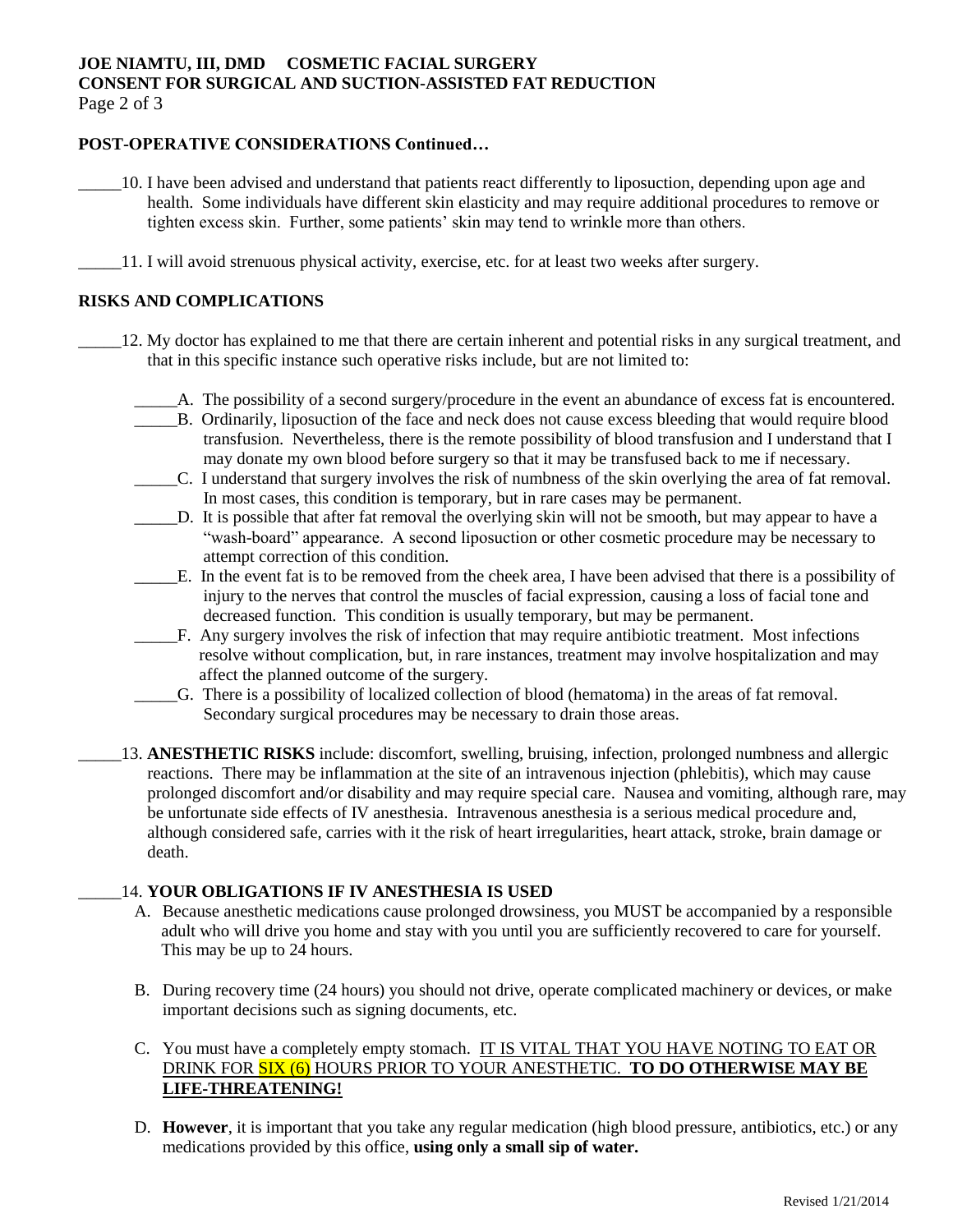## **JOE NIAMTU, III, DMD COSMETIC FACIAL SURGERY CONSENT FOR SURGICAL AND SUCTION-ASSISTED FAT REDUCTION** Page 2 of 3

## **POST-OPERATIVE CONSIDERATIONS Continued…**

- \_\_\_\_\_10. I have been advised and understand that patients react differently to liposuction, depending upon age and health. Some individuals have different skin elasticity and may require additional procedures to remove or tighten excess skin. Further, some patients' skin may tend to wrinkle more than others.
- \_\_\_\_\_11. I will avoid strenuous physical activity, exercise, etc. for at least two weeks after surgery.

#### **RISKS AND COMPLICATIONS**

- \_\_\_\_\_12. My doctor has explained to me that there are certain inherent and potential risks in any surgical treatment, and that in this specific instance such operative risks include, but are not limited to:
	- \_\_\_\_\_A. The possibility of a second surgery/procedure in the event an abundance of excess fat is encountered.
	- \_\_\_\_\_B. Ordinarily, liposuction of the face and neck does not cause excess bleeding that would require blood transfusion. Nevertheless, there is the remote possibility of blood transfusion and I understand that I may donate my own blood before surgery so that it may be transfused back to me if necessary.
	- \_\_\_\_\_C. I understand that surgery involves the risk of numbness of the skin overlying the area of fat removal. In most cases, this condition is temporary, but in rare cases may be permanent.
	- \_\_\_\_\_D. It is possible that after fat removal the overlying skin will not be smooth, but may appear to have a "wash-board" appearance. A second liposuction or other cosmetic procedure may be necessary to attempt correction of this condition.
	- \_\_\_\_\_E. In the event fat is to be removed from the cheek area, I have been advised that there is a possibility of injury to the nerves that control the muscles of facial expression, causing a loss of facial tone and decreased function. This condition is usually temporary, but may be permanent.
	- \_\_\_\_\_F. Any surgery involves the risk of infection that may require antibiotic treatment. Most infections resolve without complication, but, in rare instances, treatment may involve hospitalization and may affect the planned outcome of the surgery.
	- \_\_\_\_\_G. There is a possibility of localized collection of blood (hematoma) in the areas of fat removal. Secondary surgical procedures may be necessary to drain those areas.
	- \_\_\_\_\_13. **ANESTHETIC RISKS** include: discomfort, swelling, bruising, infection, prolonged numbness and allergic reactions. There may be inflammation at the site of an intravenous injection (phlebitis), which may cause prolonged discomfort and/or disability and may require special care. Nausea and vomiting, although rare, may be unfortunate side effects of IV anesthesia. Intravenous anesthesia is a serious medical procedure and, although considered safe, carries with it the risk of heart irregularities, heart attack, stroke, brain damage or death.

#### \_\_\_\_\_14. **YOUR OBLIGATIONS IF IV ANESTHESIA IS USED**

- A. Because anesthetic medications cause prolonged drowsiness, you MUST be accompanied by a responsible adult who will drive you home and stay with you until you are sufficiently recovered to care for yourself. This may be up to 24 hours.
- B. During recovery time (24 hours) you should not drive, operate complicated machinery or devices, or make important decisions such as signing documents, etc.
- C. You must have a completely empty stomach. IT IS VITAL THAT YOU HAVE NOTING TO EAT OR DRINK FOR SIX (6) HOURS PRIOR TO YOUR ANESTHETIC. **TO DO OTHERWISE MAY BE LIFE-THREATENING!**
- D. **However**, it is important that you take any regular medication (high blood pressure, antibiotics, etc.) or any medications provided by this office, **using only a small sip of water.**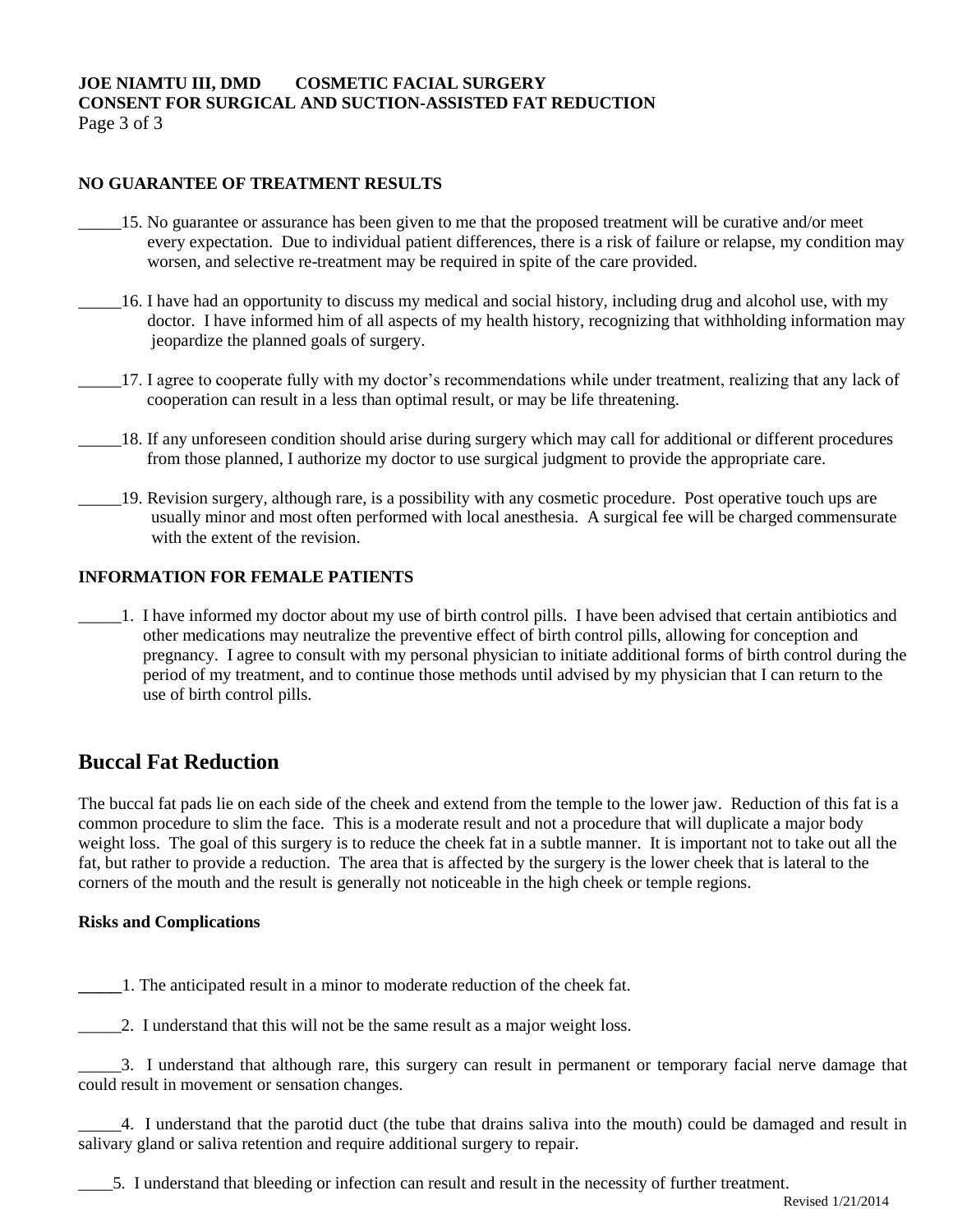## **JOE NIAMTU III, DMD COSMETIC FACIAL SURGERY CONSENT FOR SURGICAL AND SUCTION-ASSISTED FAT REDUCTION** Page 3 of 3

# **NO GUARANTEE OF TREATMENT RESULTS**

- \_\_\_\_\_15. No guarantee or assurance has been given to me that the proposed treatment will be curative and/or meet every expectation. Due to individual patient differences, there is a risk of failure or relapse, my condition may worsen, and selective re-treatment may be required in spite of the care provided.
- \_\_\_\_\_16. I have had an opportunity to discuss my medical and social history, including drug and alcohol use, with my doctor. I have informed him of all aspects of my health history, recognizing that withholding information may jeopardize the planned goals of surgery.
- \_\_\_\_\_17. I agree to cooperate fully with my doctor's recommendations while under treatment, realizing that any lack of cooperation can result in a less than optimal result, or may be life threatening.
- \_\_\_\_\_18. If any unforeseen condition should arise during surgery which may call for additional or different procedures from those planned, I authorize my doctor to use surgical judgment to provide the appropriate care.
- \_\_\_\_\_19. Revision surgery, although rare, is a possibility with any cosmetic procedure. Post operative touch ups are usually minor and most often performed with local anesthesia. A surgical fee will be charged commensurate with the extent of the revision.

### **INFORMATION FOR FEMALE PATIENTS**

\_\_\_\_\_1. I have informed my doctor about my use of birth control pills. I have been advised that certain antibiotics and other medications may neutralize the preventive effect of birth control pills, allowing for conception and pregnancy. I agree to consult with my personal physician to initiate additional forms of birth control during the period of my treatment, and to continue those methods until advised by my physician that I can return to the use of birth control pills.

# **Buccal Fat Reduction**

The buccal fat pads lie on each side of the cheek and extend from the temple to the lower jaw. Reduction of this fat is a common procedure to slim the face. This is a moderate result and not a procedure that will duplicate a major body weight loss. The goal of this surgery is to reduce the cheek fat in a subtle manner. It is important not to take out all the fat, but rather to provide a reduction. The area that is affected by the surgery is the lower cheek that is lateral to the corners of the mouth and the result is generally not noticeable in the high cheek or temple regions.

## **Risks and Complications**

\_\_\_\_1. The anticipated result in a minor to moderate reduction of the cheek fat.

2. I understand that this will not be the same result as a major weight loss.

\_\_\_\_\_3. I understand that although rare, this surgery can result in permanent or temporary facial nerve damage that could result in movement or sensation changes.

\_\_\_\_\_4. I understand that the parotid duct (the tube that drains saliva into the mouth) could be damaged and result in salivary gland or saliva retention and require additional surgery to repair.

\_\_\_\_5. I understand that bleeding or infection can result and result in the necessity of further treatment.